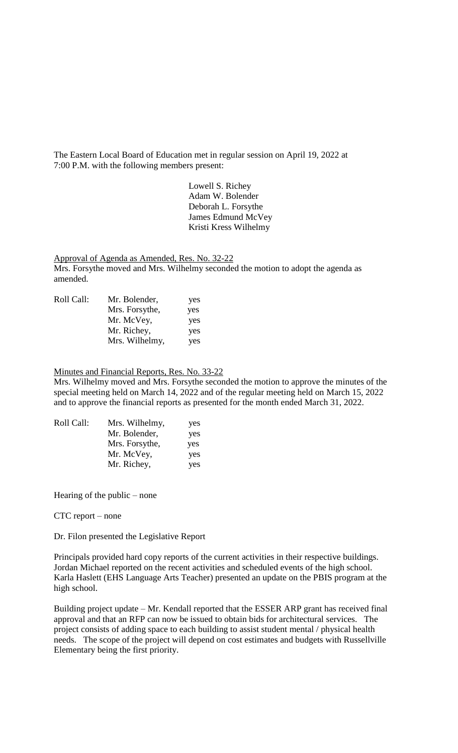The Eastern Local Board of Education met in regular session on April 19, 2022 at 7:00 P.M. with the following members present:

> Lowell S. Richey Adam W. Bolender Deborah L. Forsythe James Edmund McVey Kristi Kress Wilhelmy

Approval of Agenda as Amended, Res. No. 32-22 Mrs. Forsythe moved and Mrs. Wilhelmy seconded the motion to adopt the agenda as amended.

| Roll Call: | Mr. Bolender,  | yes |
|------------|----------------|-----|
|            | Mrs. Forsythe, | yes |
|            | Mr. McVey,     | yes |
|            | Mr. Richey,    | yes |
|            | Mrs. Wilhelmy, | yes |

# Minutes and Financial Reports, Res. No. 33-22

Mrs. Wilhelmy moved and Mrs. Forsythe seconded the motion to approve the minutes of the special meeting held on March 14, 2022 and of the regular meeting held on March 15, 2022 and to approve the financial reports as presented for the month ended March 31, 2022.

| Mrs. Wilhelmy, | yes |
|----------------|-----|
| Mr. Bolender,  | yes |
| Mrs. Forsythe, | yes |
| Mr. McVey,     | yes |
| Mr. Richey,    | yes |
|                |     |

Hearing of the public – none

CTC report – none

Dr. Filon presented the Legislative Report

Principals provided hard copy reports of the current activities in their respective buildings. Jordan Michael reported on the recent activities and scheduled events of the high school. Karla Haslett (EHS Language Arts Teacher) presented an update on the PBIS program at the high school.

Building project update – Mr. Kendall reported that the ESSER ARP grant has received final approval and that an RFP can now be issued to obtain bids for architectural services. The project consists of adding space to each building to assist student mental / physical health needs. The scope of the project will depend on cost estimates and budgets with Russellville Elementary being the first priority.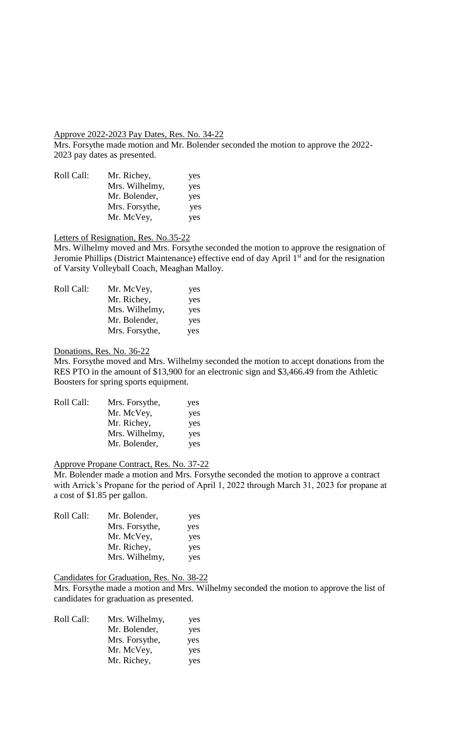### Approve 2022-2023 Pay Dates, Res. No. 34-22

Mrs. Forsythe made motion and Mr. Bolender seconded the motion to approve the 2022- 2023 pay dates as presented.

| Roll Call: | Mr. Richey,    | yes |
|------------|----------------|-----|
|            | Mrs. Wilhelmy, | yes |
|            | Mr. Bolender,  | yes |
|            | Mrs. Forsythe, | yes |
|            | Mr. McVey,     | yes |

## Letters of Resignation, Res. No.35-22

Mrs. Wilhelmy moved and Mrs. Forsythe seconded the motion to approve the resignation of Jeromie Phillips (District Maintenance) effective end of day April 1<sup>st</sup> and for the resignation of Varsity Volleyball Coach, Meaghan Malloy.

| Roll Call: | Mr. McVey,     | yes |
|------------|----------------|-----|
|            | Mr. Richey,    | yes |
|            | Mrs. Wilhelmy, | yes |
|            | Mr. Bolender,  | yes |
|            | Mrs. Forsythe, | yes |

#### Donations, Res. No. 36-22

Mrs. Forsythe moved and Mrs. Wilhelmy seconded the motion to accept donations from the RES PTO in the amount of \$13,900 for an electronic sign and \$3,466.49 from the Athletic Boosters for spring sports equipment.

| Roll Call: | Mrs. Forsythe, | yes |
|------------|----------------|-----|
|            | Mr. McVey,     | yes |
|            | Mr. Richey,    | yes |
|            | Mrs. Wilhelmy, | yes |
|            | Mr. Bolender,  | yes |
|            |                |     |

# Approve Propane Contract, Res. No. 37-22

Mr. Bolender made a motion and Mrs. Forsythe seconded the motion to approve a contract with Arrick's Propane for the period of April 1, 2022 through March 31, 2023 for propane at a cost of \$1.85 per gallon.

| Roll Call: | Mr. Bolender,  | yes |
|------------|----------------|-----|
|            | Mrs. Forsythe, | yes |
|            | Mr. McVey,     | yes |
|            | Mr. Richey,    | yes |
|            | Mrs. Wilhelmy, | yes |

## Candidates for Graduation, Res. No. 38-22

Mrs. Forsythe made a motion and Mrs. Wilhelmy seconded the motion to approve the list of candidates for graduation as presented.

| Roll Call: | Mrs. Wilhelmy, | yes |
|------------|----------------|-----|
|            | Mr. Bolender,  | yes |
|            | Mrs. Forsythe, | yes |
|            | Mr. McVey,     | yes |
|            | Mr. Richey,    | yes |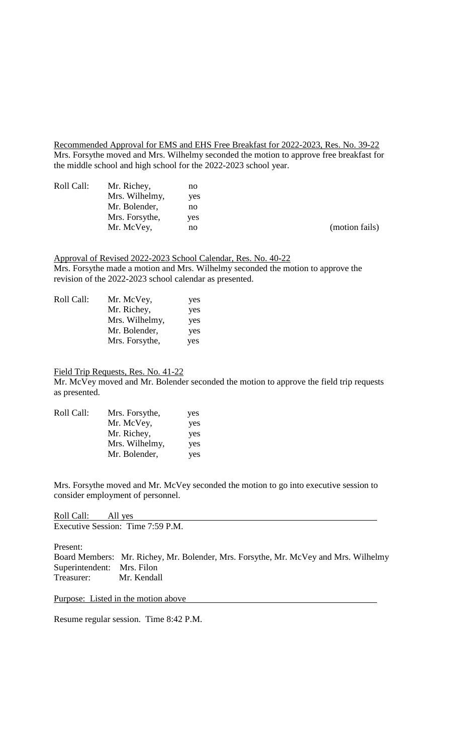Recommended Approval for EMS and EHS Free Breakfast for 2022-2023, Res. No. 39-22 Mrs. Forsythe moved and Mrs. Wilhelmy seconded the motion to approve free breakfast for the middle school and high school for the 2022-2023 school year.

| Roll Call: | Mr. Richey,    | no  |
|------------|----------------|-----|
|            | Mrs. Wilhelmy, | yes |
|            | Mr. Bolender,  | no  |
|            | Mrs. Forsythe, | yes |
|            | Mr. McVey,     | no  |

(motion fails)

Approval of Revised 2022-2023 School Calendar, Res. No. 40-22 Mrs. Forsythe made a motion and Mrs. Wilhelmy seconded the motion to approve the revision of the 2022-2023 school calendar as presented.

| Roll Call: | Mr. McVey,     | yes |
|------------|----------------|-----|
|            | Mr. Richey,    | yes |
|            | Mrs. Wilhelmy, | yes |
|            | Mr. Bolender,  | yes |
|            | Mrs. Forsythe, | yes |

Field Trip Requests, Res. No. 41-22

Mr. McVey moved and Mr. Bolender seconded the motion to approve the field trip requests as presented.

| Roll Call: | Mrs. Forsythe, | yes |
|------------|----------------|-----|
|            | Mr. McVey,     | yes |
|            | Mr. Richey,    | yes |
|            | Mrs. Wilhelmy, | yes |
|            | Mr. Bolender,  | yes |

Mrs. Forsythe moved and Mr. McVey seconded the motion to go into executive session to consider employment of personnel.

| Roll Call: All yes                |  |  |  |
|-----------------------------------|--|--|--|
| Executive Session: Time 7:59 P.M. |  |  |  |

Present:

Board Members: Mr. Richey, Mr. Bolender, Mrs. Forsythe, Mr. McVey and Mrs. Wilhelmy Superintendent: Mrs. Filon Treasurer: Mr. Kendall

Purpose: Listed in the motion above

Resume regular session. Time 8:42 P.M.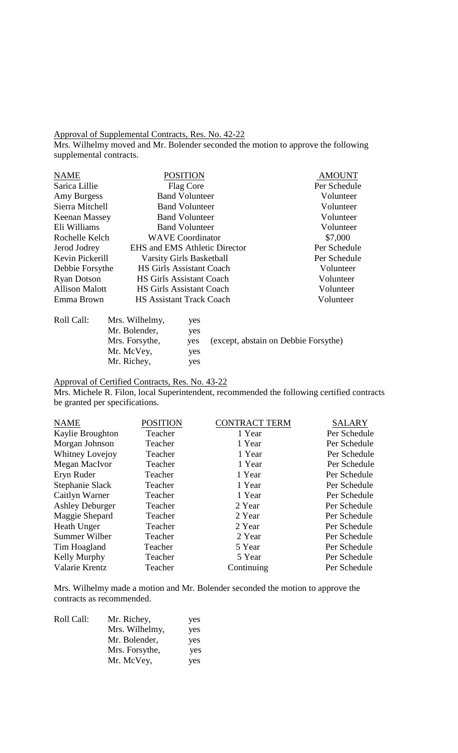#### Approval of Supplemental Contracts, Res. No. 42-22

Mrs. Wilhelmy moved and Mr. Bolender seconded the motion to approve the following supplemental contracts.

| <b>NAME</b>           | <b>POSITION</b>                      | <b>AMOUNT</b> |
|-----------------------|--------------------------------------|---------------|
| Sarica Lillie         | Flag Core                            | Per Schedule  |
| Amy Burgess           | <b>Band Volunteer</b>                | Volunteer     |
| Sierra Mitchell       | <b>Band Volunteer</b>                | Volunteer     |
| <b>Keenan Massey</b>  | <b>Band Volunteer</b>                | Volunteer     |
| Eli Williams          | <b>Band Volunteer</b>                | Volunteer     |
| Rochelle Kelch        | <b>WAVE</b> Coordinator              | \$7,000       |
| Jerod Jodrey          | <b>EHS and EMS Athletic Director</b> | Per Schedule  |
| Kevin Pickerill       | <b>Varsity Girls Basketball</b>      | Per Schedule  |
| Debbie Forsythe       | <b>HS Girls Assistant Coach</b>      | Volunteer     |
| <b>Ryan Dotson</b>    | <b>HS Girls Assistant Coach</b>      | Volunteer     |
| <b>Allison Malott</b> | <b>HS Girls Assistant Coach</b>      | Volunteer     |
| Emma Brown            | <b>HS Assistant Track Coach</b>      | Volunteer     |
| Roll Call:            | Mrs. Wilhelmy,<br>yes                |               |

| was can | TATIO, IT ITILOITII A | ັັ  |                                      |
|---------|-----------------------|-----|--------------------------------------|
|         | Mr. Bolender,         | ves |                                      |
|         | Mrs. Forsythe,        | ves | (except, abstain on Debbie Forsythe) |
|         | Mr. McVey,            | ves |                                      |
|         | Mr. Richey,           | yes |                                      |

Approval of Certified Contracts, Res. No. 43-22

Mrs. Michele R. Filon, local Superintendent, recommended the following certified contracts be granted per specifications.

| <b>NAME</b>            | <b>POSITION</b> | <b>CONTRACT TERM</b> | <b>SALARY</b> |
|------------------------|-----------------|----------------------|---------------|
| Kaylie Broughton       | Teacher         | 1 Year               | Per Schedule  |
| Morgan Johnson         | Teacher         | 1 Year               | Per Schedule  |
| Whitney Lovejoy        | Teacher         | 1 Year               | Per Schedule  |
| Megan MacIvor          | Teacher         | 1 Year               | Per Schedule  |
| Eryn Ruder             | Teacher         | 1 Year               | Per Schedule  |
| Stephanie Slack        | Teacher         | 1 Year               | Per Schedule  |
| Caitlyn Warner         | Teacher         | 1 Year               | Per Schedule  |
| <b>Ashley Deburger</b> | Teacher         | 2 Year               | Per Schedule  |
| Maggie Shepard         | Teacher         | 2 Year               | Per Schedule  |
| Heath Unger            | Teacher         | 2 Year               | Per Schedule  |
| Summer Wilber          | Teacher         | 2 Year               | Per Schedule  |
| Tim Hoagland           | Teacher         | 5 Year               | Per Schedule  |
| Kelly Murphy           | Teacher         | 5 Year               | Per Schedule  |
| Valarie Krentz         | Teacher         | Continuing           | Per Schedule  |

Mrs. Wilhelmy made a motion and Mr. Bolender seconded the motion to approve the contracts as recommended.

| Roll Call: | Mr. Richey,    | yes |
|------------|----------------|-----|
|            | Mrs. Wilhelmy, | yes |
|            | Mr. Bolender,  | yes |
|            | Mrs. Forsythe, | yes |
|            | Mr. McVey,     | yes |